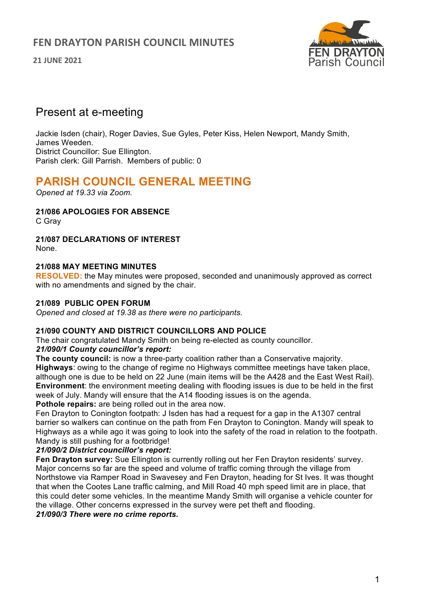## **FEN DRAYTON PARISH COUNCIL MINUTES**

**21 JUNE 2021**



# Present at e-meeting

Jackie Isden (chair), Roger Davies, Sue Gyles, Peter Kiss, Helen Newport, Mandy Smith, James Weeden. District Councillor: Sue Ellington. Parish clerk: Gill Parrish. Members of public: 0

# **PARISH COUNCIL GENERAL MEETING**

*Opened at 19.33 via Zoom.*

**21/086 APOLOGIES FOR ABSENCE** 

C Gray

**21/087 DECLARATIONS OF INTEREST**  None.

## **21/088 MAY MEETING MINUTES**

**RESOLVED:** the May minutes were proposed, seconded and unanimously approved as correct with no amendments and signed by the chair.

### **21/089 PUBLIC OPEN FORUM**

*Opened and closed at 19.38 as there were no participants.*

## **21/090 COUNTY AND DISTRICT COUNCILLORS AND POLICE**

The chair congratulated Mandy Smith on being re-elected as county councillor.

## *21/090/1 County councillor's report:*

**The county council:** is now a three-party coalition rather than a Conservative majority. **Highways**: owing to the change of regime no Highways committee meetings have taken place, although one is due to be held on 22 June (main items will be the A428 and the East West Rail). **Environment**: the environment meeting dealing with flooding issues is due to be held in the first week of July. Mandy will ensure that the A14 flooding issues is on the agenda. **Pothole repairs:** are being rolled out in the area now.

Fen Drayton to Conington footpath: J Isden has had a request for a gap in the A1307 central barrier so walkers can continue on the path from Fen Drayton to Conington. Mandy will speak to Highways as a while ago it was going to look into the safety of the road in relation to the footpath. Mandy is still pushing for a footbridge!

## *21/090/2 District councillor's report:*

**Fen Drayton survey:** Sue Ellington is currently rolling out her Fen Drayton residents' survey. Major concerns so far are the speed and volume of traffic coming through the village from Northstowe via Ramper Road in Swavesey and Fen Drayton, heading for St Ives. It was thought that when the Cootes Lane traffic calming, and Mill Road 40 mph speed limit are in place, that this could deter some vehicles. In the meantime Mandy Smith will organise a vehicle counter for the village. Other concerns expressed in the survey were pet theft and flooding.

*21/090/3 There were no crime reports.*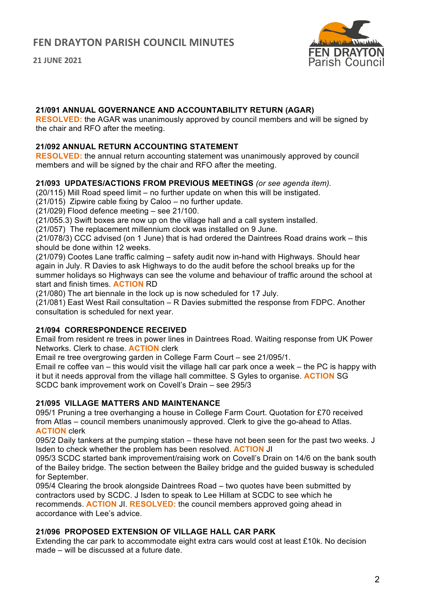**21 JUNE 2021**



### **21/091 ANNUAL GOVERNANCE AND ACCOUNTABILITY RETURN (AGAR)**

**RESOLVED:** the AGAR was unanimously approved by council members and will be signed by the chair and RFO after the meeting.

#### **21/092 ANNUAL RETURN ACCOUNTING STATEMENT**

**RESOLVED:** the annual return accounting statement was unanimously approved by council members and will be signed by the chair and RFO after the meeting.

#### **21/093 UPDATES/ACTIONS FROM PREVIOUS MEETINGS** *(or see agenda item).*

(20/115) Mill Road speed limit – no further update on when this will be instigated.

(21/015) Zipwire cable fixing by Caloo – no further update.

(21/029) Flood defence meeting – see 21/100.

(21/055.3) Swift boxes are now up on the village hall and a call system installed.

(21/057) The replacement millennium clock was installed on 9 June.

(21/078/3) CCC advised (on 1 June) that is had ordered the Daintrees Road drains work – this should be done within 12 weeks.

(21/079) Cootes Lane traffic calming – safety audit now in-hand with Highways. Should hear again in July. R Davies to ask Highways to do the audit before the school breaks up for the summer holidays so Highways can see the volume and behaviour of traffic around the school at start and finish times. **ACTION** RD

(21/080) The art biennale in the lock up is now scheduled for 17 July.

(21/081) East West Rail consultation – R Davies submitted the response from FDPC. Another consultation is scheduled for next year.

## **21/094 CORRESPONDENCE RECEIVED**

Email from resident re trees in power lines in Daintrees Road. Waiting response from UK Power Networks. Clerk to chase. **ACTION** clerk

Email re tree overgrowing garden in College Farm Court – see 21/095/1.

Email re coffee van – this would visit the village hall car park once a week – the PC is happy with it but it needs approval from the village hall committee. S Gyles to organise. **ACTION** SG SCDC bank improvement work on Covell's Drain – see 295/3

## **21/095 VILLAGE MATTERS AND MAINTENANCE**

095/1 Pruning a tree overhanging a house in College Farm Court. Quotation for £70 received from Atlas – council members unanimously approved. Clerk to give the go-ahead to Atlas. **ACTION** clerk

095/2 Daily tankers at the pumping station – these have not been seen for the past two weeks. J Isden to check whether the problem has been resolved. **ACTION** JI

095/3 SCDC started bank improvement/raising work on Covell's Drain on 14/6 on the bank south of the Bailey bridge. The section between the Bailey bridge and the guided busway is scheduled for September.

095/4 Clearing the brook alongside Daintrees Road – two quotes have been submitted by contractors used by SCDC. J Isden to speak to Lee Hillam at SCDC to see which he recommends. **ACTION** JI. **RESOLVED:** the council members approved going ahead in accordance with Lee's advice.

## **21/096 PROPOSED EXTENSION OF VILLAGE HALL CAR PARK**

Extending the car park to accommodate eight extra cars would cost at least £10k. No decision made – will be discussed at a future date.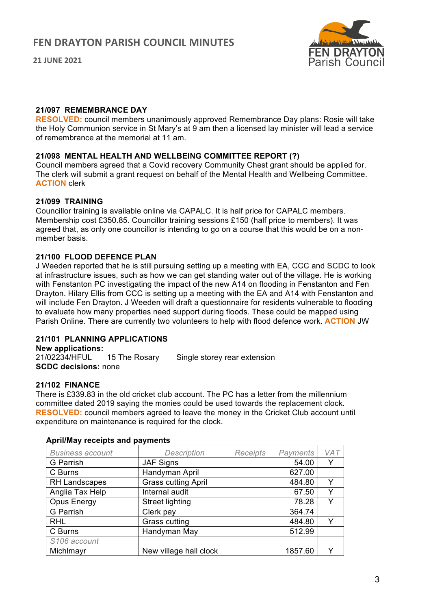**21 JUNE 2021**



#### **21/097 REMEMBRANCE DAY**

**RESOLVED:** council members unanimously approved Remembrance Day plans: Rosie will take the Holy Communion service in St Mary's at 9 am then a licensed lay minister will lead a service of remembrance at the memorial at 11 am.

### **21/098 MENTAL HEALTH AND WELLBEING COMMITTEE REPORT (?)**

Council members agreed that a Covid recovery Community Chest grant should be applied for. The clerk will submit a grant request on behalf of the Mental Health and Wellbeing Committee. **ACTION** clerk

#### **21/099 TRAINING**

Councillor training is available online via CAPALC. It is half price for CAPALC members. Membership cost £350.85. Councillor training sessions £150 (half price to members). It was agreed that, as only one councillor is intending to go on a course that this would be on a nonmember basis.

#### **21/100 FLOOD DEFENCE PLAN**

J Weeden reported that he is still pursuing setting up a meeting with EA, CCC and SCDC to look at infrastructure issues, such as how we can get standing water out of the village. He is working with Fenstanton PC investigating the impact of the new A14 on flooding in Fenstanton and Fen Drayton. Hilary Ellis from CCC is setting up a meeting with the EA and A14 with Fenstanton and will include Fen Drayton. J Weeden will draft a questionnaire for residents vulnerable to flooding to evaluate how many properties need support during floods. These could be mapped using Parish Online. There are currently two volunteers to help with flood defence work. **ACTION** JW

## **21/101 PLANNING APPLICATIONS**

**New applications:** 15 The Rosary Single storey rear extension **SCDC decisions:** none

#### **21/102 FINANCE**

There is £339.83 in the old cricket club account. The PC has a letter from the millennium committee dated 2019 saying the monies could be used towards the replacement clock. **RESOLVED:** council members agreed to leave the money in the Cricket Club account until expenditure on maintenance is required for the clock.

| <b>Business account</b> | Description                | <b>Receipts</b> | Payments | VAT |
|-------------------------|----------------------------|-----------------|----------|-----|
| G Parrish               | <b>JAF Signs</b>           |                 | 54.00    |     |
| C Burns                 | Handyman April             |                 | 627.00   |     |
| RH Landscapes           | <b>Grass cutting April</b> |                 | 484.80   | Y   |
| Anglia Tax Help         | Internal audit             |                 | 67.50    | Υ   |
| Opus Energy             | <b>Street lighting</b>     |                 | 78.28    |     |
| G Parrish               | Clerk pay                  |                 | 364.74   |     |
| <b>RHL</b>              | Grass cutting              |                 | 484.80   | v   |
| C Burns                 | Handyman May               |                 | 512.99   |     |
| S106 account            |                            |                 |          |     |
| Michlmayr               | New village hall clock     |                 | 1857.60  |     |

#### **April/May receipts and payments**